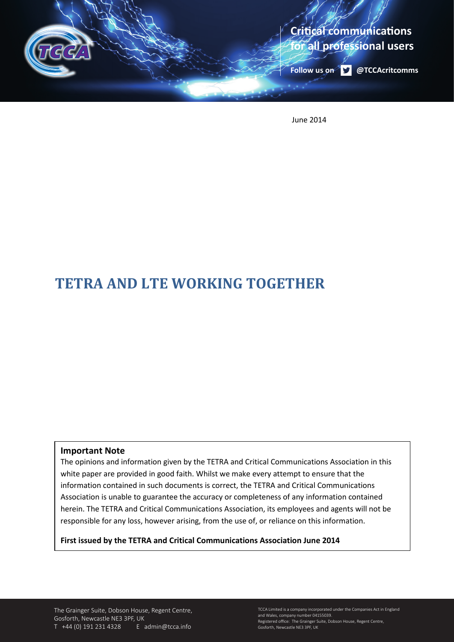

June 2014

# **TETRA AND LTE WORKING TOGETHER**

#### **Important Note**

The opinions and information given by the TETRA and Critical Communications Association in this white paper are provided in good faith. Whilst we make every attempt to ensure that the information contained in such documents is correct, the TETRA and Critical Communications Association is unable to guarantee the accuracy or completeness of any information contained herein. The TETRA and Critical Communications Association, its employees and agents will not be responsible for any loss, however arising, from the use of, or reliance on this information.

**First issued by the TETRA and Critical Communications Association June 2014**

The Grainger Suite, Dobson House, Regent Centre, Gosforth, Newcastle NE3 3PF, UK T +44 (0) 191 231 4328 E admin@tcca.info

TCCA Limited is a company incorporated under the Companies Act in England and Wales, company number 04155039. Registered office: The Grainger Suite, Dobson House, Regent Centre, Gosforth, Newcastle NE3 3PF, UK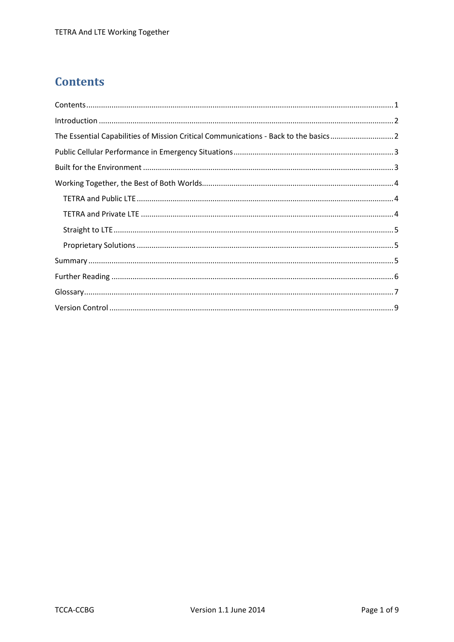## <span id="page-1-0"></span>**Contents**

| The Essential Capabilities of Mission Critical Communications - Back to the basics2 |  |
|-------------------------------------------------------------------------------------|--|
|                                                                                     |  |
|                                                                                     |  |
|                                                                                     |  |
|                                                                                     |  |
|                                                                                     |  |
|                                                                                     |  |
|                                                                                     |  |
|                                                                                     |  |
|                                                                                     |  |
|                                                                                     |  |
|                                                                                     |  |
|                                                                                     |  |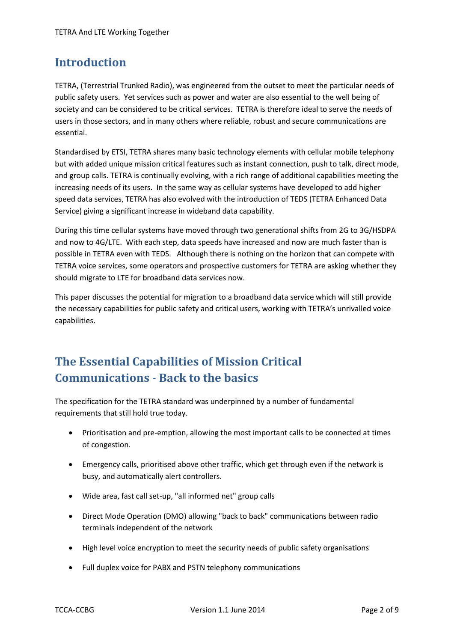### <span id="page-2-0"></span>**Introduction**

TETRA, (Terrestrial Trunked Radio), was engineered from the outset to meet the particular needs of public safety users. Yet services such as power and water are also essential to the well being of society and can be considered to be critical services. TETRA is therefore ideal to serve the needs of users in those sectors, and in many others where reliable, robust and secure communications are essential.

Standardised by ETSI, TETRA shares many basic technology elements with cellular mobile telephony but with added unique mission critical features such as instant connection, push to talk, direct mode, and group calls. TETRA is continually evolving, with a rich range of additional capabilities meeting the increasing needs of its users. In the same way as cellular systems have developed to add higher speed data services, TETRA has also evolved with the introduction of TEDS (TETRA Enhanced Data Service) giving a significant increase in wideband data capability.

During this time cellular systems have moved through two generational shifts from 2G to 3G/HSDPA and now to 4G/LTE. With each step, data speeds have increased and now are much faster than is possible in TETRA even with TEDS. Although there is nothing on the horizon that can compete with TETRA voice services, some operators and prospective customers for TETRA are asking whether they should migrate to LTE for broadband data services now.

This paper discusses the potential for migration to a broadband data service which will still provide the necessary capabilities for public safety and critical users, working with TETRA's unrivalled voice capabilities.

## <span id="page-2-1"></span>**The Essential Capabilities of Mission Critical Communications - Back to the basics**

The specification for the TETRA standard was underpinned by a number of fundamental requirements that still hold true today.

- Prioritisation and pre-emption, allowing the most important calls to be connected at times of congestion.
- Emergency calls, prioritised above other traffic, which get through even if the network is busy, and automatically alert controllers.
- Wide area, fast call set-up, "all informed net" group calls
- Direct Mode Operation (DMO) allowing "back to back" communications between radio terminals independent of the network
- High level voice encryption to meet the security needs of public safety organisations
- Full duplex voice for PABX and PSTN telephony communications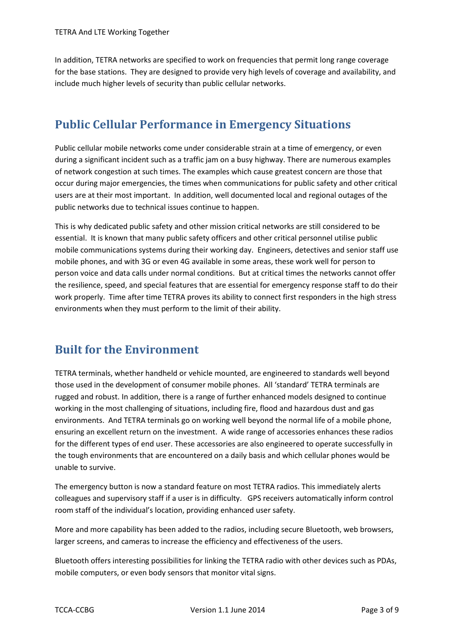In addition, TETRA networks are specified to work on frequencies that permit long range coverage for the base stations. They are designed to provide very high levels of coverage and availability, and include much higher levels of security than public cellular networks.

### <span id="page-3-0"></span>**Public Cellular Performance in Emergency Situations**

Public cellular mobile networks come under considerable strain at a time of emergency, or even during a significant incident such as a traffic jam on a busy highway. There are numerous examples of network congestion at such times. The examples which cause greatest concern are those that occur during major emergencies, the times when communications for public safety and other critical users are at their most important. In addition, well documented local and regional outages of the public networks due to technical issues continue to happen.

This is why dedicated public safety and other mission critical networks are still considered to be essential. It is known that many public safety officers and other critical personnel utilise public mobile communications systems during their working day. Engineers, detectives and senior staff use mobile phones, and with 3G or even 4G available in some areas, these work well for person to person voice and data calls under normal conditions. But at critical times the networks cannot offer the resilience, speed, and special features that are essential for emergency response staff to do their work properly. Time after time TETRA proves its ability to connect first responders in the high stress environments when they must perform to the limit of their ability.

### <span id="page-3-1"></span>**Built for the Environment**

TETRA terminals, whether handheld or vehicle mounted, are engineered to standards well beyond those used in the development of consumer mobile phones. All 'standard' TETRA terminals are rugged and robust. In addition, there is a range of further enhanced models designed to continue working in the most challenging of situations, including fire, flood and hazardous dust and gas environments. And TETRA terminals go on working well beyond the normal life of a mobile phone, ensuring an excellent return on the investment. A wide range of accessories enhances these radios for the different types of end user. These accessories are also engineered to operate successfully in the tough environments that are encountered on a daily basis and which cellular phones would be unable to survive.

The emergency button is now a standard feature on most TETRA radios. This immediately alerts colleagues and supervisory staff if a user is in difficulty. GPS receivers automatically inform control room staff of the individual's location, providing enhanced user safety.

More and more capability has been added to the radios, including secure Bluetooth, web browsers, larger screens, and cameras to increase the efficiency and effectiveness of the users.

Bluetooth offers interesting possibilities for linking the TETRA radio with other devices such as PDAs, mobile computers, or even body sensors that monitor vital signs.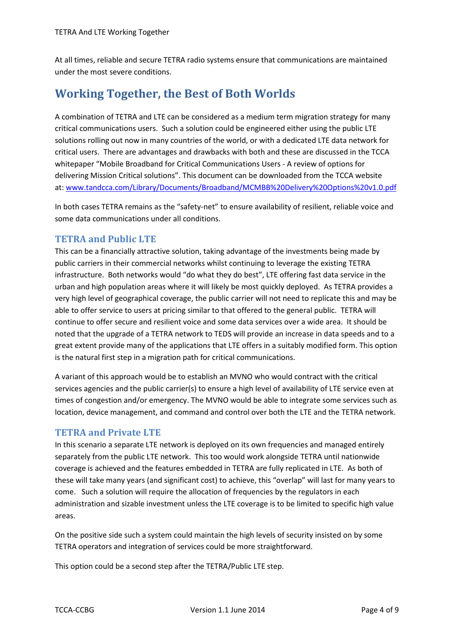At all times, reliable and secure TETRA radio systems ensure that communications are maintained under the most severe conditions.

## <span id="page-4-0"></span>**Working Together, the Best of Both Worlds**

A combination of TETRA and LTE can be considered as a medium term migration strategy for many critical communications users. Such a solution could be engineered either using the public LTE solutions rolling out now in many countries of the world, or with a dedicated LTE data network for critical users. There are advantages and drawbacks with both and these are discussed in the TCCA whitepaper "Mobile Broadband for Critical Communications Users - A review of options for delivering Mission Critical solutions". This document can be downloaded from the TCCA website at: [www.tandcca.com/Library/Documents/Broadband/MCMBB%20Delivery%20Options%20v1.0.pdf](http://www.tandcca.com/Library/Documents/Broadband/MCMBB%20Delivery%20Options%20v1.0.pdf)

In both cases TETRA remains as the "safety-net" to ensure availability of resilient, reliable voice and some data communications under all conditions.

#### <span id="page-4-1"></span>**TETRA and Public LTE**

This can be a financially attractive solution, taking advantage of the investments being made by public carriers in their commercial networks whilst continuing to leverage the existing TETRA infrastructure. Both networks would "do what they do best", LTE offering fast data service in the urban and high population areas where it will likely be most quickly deployed. As TETRA provides a very high level of geographical coverage, the public carrier will not need to replicate this and may be able to offer service to users at pricing similar to that offered to the general public. TETRA will continue to offer secure and resilient voice and some data services over a wide area. It should be noted that the upgrade of a TETRA network to TEDS will provide an increase in data speeds and to a great extent provide many of the applications that LTE offers in a suitably modified form. This option is the natural first step in a migration path for critical communications.

A variant of this approach would be to establish an MVNO who would contract with the critical services agencies and the public carrier(s) to ensure a high level of availability of LTE service even at times of congestion and/or emergency. The MVNO would be able to integrate some services such as location, device management, and command and control over both the LTE and the TETRA network.

#### <span id="page-4-2"></span>**TETRA and Private LTE**

In this scenario a separate LTE network is deployed on its own frequencies and managed entirely separately from the public LTE network. This too would work alongside TETRA until nationwide coverage is achieved and the features embedded in TETRA are fully replicated in LTE. As both of these will take many years (and significant cost) to achieve, this "overlap" will last for many years to come. Such a solution will require the allocation of frequencies by the regulators in each administration and sizable investment unless the LTE coverage is to be limited to specific high value areas.

On the positive side such a system could maintain the high levels of security insisted on by some TETRA operators and integration of services could be more straightforward.

This option could be a second step after the TETRA/Public LTE step.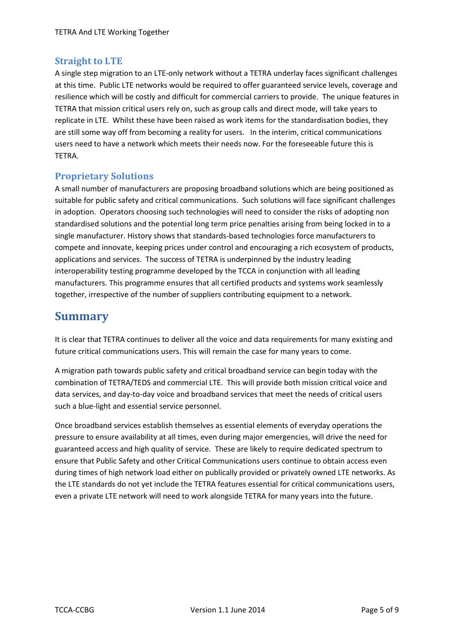#### <span id="page-5-0"></span>**Straight to LTE**

A single step migration to an LTE-only network without a TETRA underlay faces significant challenges at this time. Public LTE networks would be required to offer guaranteed service levels, coverage and resilience which will be costly and difficult for commercial carriers to provide. The unique features in TETRA that mission critical users rely on, such as group calls and direct mode, will take years to replicate in LTE. Whilst these have been raised as work items for the standardisation bodies, they are still some way off from becoming a reality for users. In the interim, critical communications users need to have a network which meets their needs now. For the foreseeable future this is TETRA.

#### <span id="page-5-1"></span>**Proprietary Solutions**

A small number of manufacturers are proposing broadband solutions which are being positioned as suitable for public safety and critical communications. Such solutions will face significant challenges in adoption. Operators choosing such technologies will need to consider the risks of adopting non standardised solutions and the potential long term price penalties arising from being locked in to a single manufacturer. History shows that standards-based technologies force manufacturers to compete and innovate, keeping prices under control and encouraging a rich ecosystem of products, applications and services. The success of TETRA is underpinned by the industry leading interoperability testing programme developed by the TCCA in conjunction with all leading manufacturers. This programme ensures that all certified products and systems work seamlessly together, irrespective of the number of suppliers contributing equipment to a network.

### <span id="page-5-2"></span>**Summary**

It is clear that TETRA continues to deliver all the voice and data requirements for many existing and future critical communications users. This will remain the case for many years to come.

A migration path towards public safety and critical broadband service can begin today with the combination of TETRA/TEDS and commercial LTE. This will provide both mission critical voice and data services, and day-to-day voice and broadband services that meet the needs of critical users such a blue-light and essential service personnel.

Once broadband services establish themselves as essential elements of everyday operations the pressure to ensure availability at all times, even during major emergencies, will drive the need for guaranteed access and high quality of service. These are likely to require dedicated spectrum to ensure that Public Safety and other Critical Communications users continue to obtain access even during times of high network load either on publically provided or privately owned LTE networks. As the LTE standards do not yet include the TETRA features essential for critical communications users, even a private LTE network will need to work alongside TETRA for many years into the future.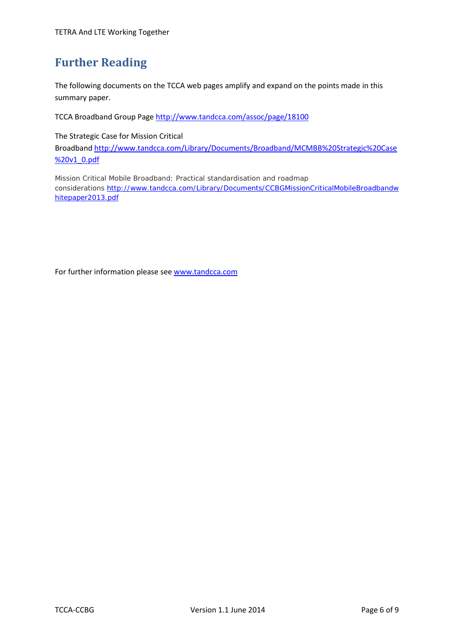## <span id="page-6-0"></span>**Further Reading**

The following documents on the TCCA web pages amplify and expand on the points made in this summary paper.

TCCA Broadband Group Page<http://www.tandcca.com/assoc/page/18100>

The Strategic Case for Mission Critical

Broadband [http://www.tandcca.com/Library/Documents/Broadband/MCMBB%20Strategic%20Case](http://www.tandcca.com/Library/Documents/Broadband/MCMBB%20Strategic%20Case%20v1_0.pdf) [%20v1\\_0.pdf](http://www.tandcca.com/Library/Documents/Broadband/MCMBB%20Strategic%20Case%20v1_0.pdf)

Mission Critical Mobile Broadband: Practical standardisation and roadmap considerations [http://www.tandcca.com/Library/Documents/CCBGMissionCriticalMobileBroadbandw](http://www.tandcca.com/Library/Documents/CCBGMissionCriticalMobileBroadbandwhitepaper2013.pdf) [hitepaper2013.pdf](http://www.tandcca.com/Library/Documents/CCBGMissionCriticalMobileBroadbandwhitepaper2013.pdf)

For further information please see [www.tandcca.com](http://www.tandcca.com/)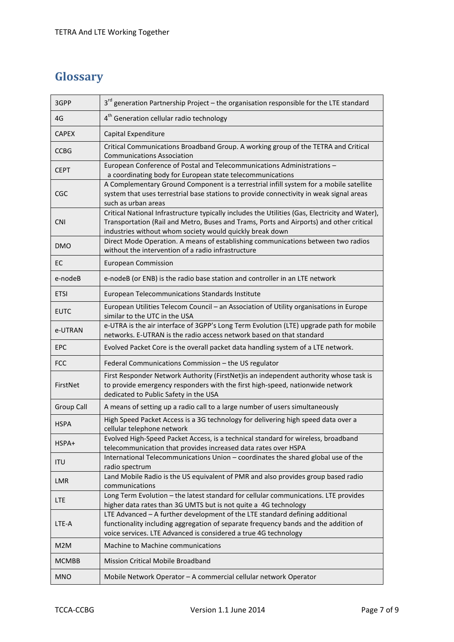## <span id="page-7-0"></span>**Glossary**

| 3GPP              | 3 <sup>rd</sup> generation Partnership Project - the organisation responsible for the LTE standard                                                                                                                                                     |  |  |  |
|-------------------|--------------------------------------------------------------------------------------------------------------------------------------------------------------------------------------------------------------------------------------------------------|--|--|--|
| 4G                | 4 <sup>th</sup> Generation cellular radio technology                                                                                                                                                                                                   |  |  |  |
| <b>CAPEX</b>      | Capital Expenditure                                                                                                                                                                                                                                    |  |  |  |
| <b>CCBG</b>       | Critical Communications Broadband Group. A working group of the TETRA and Critical<br><b>Communications Association</b>                                                                                                                                |  |  |  |
| <b>CEPT</b>       | European Conference of Postal and Telecommunications Administrations -<br>a coordinating body for European state telecommunications                                                                                                                    |  |  |  |
| <b>CGC</b>        | A Complementary Ground Component is a terrestrial infill system for a mobile satellite<br>system that uses terrestrial base stations to provide connectivity in weak signal areas<br>such as urban areas                                               |  |  |  |
| <b>CNI</b>        | Critical National Infrastructure typically includes the Utilities (Gas, Electricity and Water),<br>Transportation (Rail and Metro, Buses and Trams, Ports and Airports) and other critical<br>industries without whom society would quickly break down |  |  |  |
| <b>DMO</b>        | Direct Mode Operation. A means of establishing communications between two radios<br>without the intervention of a radio infrastructure                                                                                                                 |  |  |  |
| EC                | <b>European Commission</b>                                                                                                                                                                                                                             |  |  |  |
| e-nodeB           | e-nodeB (or ENB) is the radio base station and controller in an LTE network                                                                                                                                                                            |  |  |  |
| <b>ETSI</b>       | European Telecommunications Standards Institute                                                                                                                                                                                                        |  |  |  |
| <b>EUTC</b>       | European Utilities Telecom Council - an Association of Utility organisations in Europe<br>similar to the UTC in the USA                                                                                                                                |  |  |  |
| e-UTRAN           | e-UTRA is the air interface of 3GPP's Long Term Evolution (LTE) upgrade path for mobile<br>networks. E-UTRAN is the radio access network based on that standard                                                                                        |  |  |  |
| EPC               | Evolved Packet Core is the overall packet data handling system of a LTE network.                                                                                                                                                                       |  |  |  |
| <b>FCC</b>        | Federal Communications Commission - the US regulator                                                                                                                                                                                                   |  |  |  |
| FirstNet          | First Responder Network Authority (FirstNet) is an independent authority whose task is<br>to provide emergency responders with the first high-speed, nationwide network<br>dedicated to Public Safety in the USA                                       |  |  |  |
| <b>Group Call</b> | A means of setting up a radio call to a large number of users simultaneously                                                                                                                                                                           |  |  |  |
| <b>HSPA</b>       | High Speed Packet Access is a 3G technology for delivering high speed data over a<br>cellular telephone network                                                                                                                                        |  |  |  |
| HSPA+             | Evolved High-Speed Packet Access, is a technical standard for wireless, broadband<br>telecommunication that provides increased data rates over HSPA                                                                                                    |  |  |  |
| <b>ITU</b>        | International Telecommunications Union - coordinates the shared global use of the<br>radio spectrum                                                                                                                                                    |  |  |  |
| LMR               | Land Mobile Radio is the US equivalent of PMR and also provides group based radio<br>communications                                                                                                                                                    |  |  |  |
| <b>LTE</b>        | Long Term Evolution - the latest standard for cellular communications. LTE provides<br>higher data rates than 3G UMTS but is not quite a 4G technology                                                                                                 |  |  |  |
| LTE-A             | LTE Advanced - A further development of the LTE standard defining additional<br>functionality including aggregation of separate frequency bands and the addition of<br>voice services. LTE Advanced is considered a true 4G technology                 |  |  |  |
| M2M               | Machine to Machine communications                                                                                                                                                                                                                      |  |  |  |
| <b>MCMBB</b>      | Mission Critical Mobile Broadband                                                                                                                                                                                                                      |  |  |  |
|                   |                                                                                                                                                                                                                                                        |  |  |  |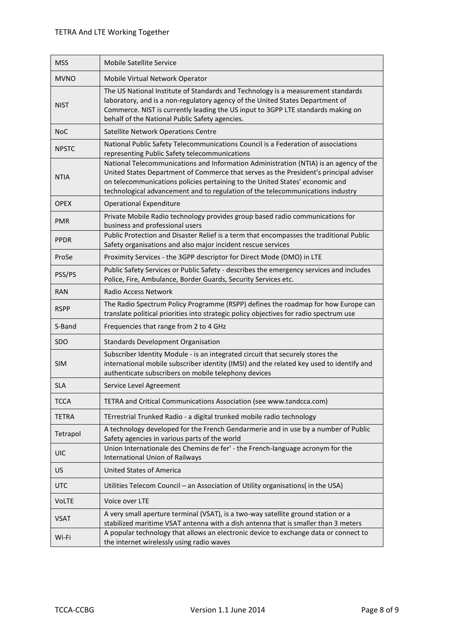| <b>MSS</b>   | <b>Mobile Satellite Service</b>                                                                                                                                                                                                                                                                                                                  |  |  |  |
|--------------|--------------------------------------------------------------------------------------------------------------------------------------------------------------------------------------------------------------------------------------------------------------------------------------------------------------------------------------------------|--|--|--|
| <b>MVNO</b>  | Mobile Virtual Network Operator                                                                                                                                                                                                                                                                                                                  |  |  |  |
| <b>NIST</b>  | The US National Institute of Standards and Technology is a measurement standards<br>laboratory, and is a non-regulatory agency of the United States Department of<br>Commerce. NIST is currently leading the US input to 3GPP LTE standards making on<br>behalf of the National Public Safety agencies.                                          |  |  |  |
| <b>NoC</b>   | Satellite Network Operations Centre                                                                                                                                                                                                                                                                                                              |  |  |  |
| <b>NPSTC</b> | National Public Safety Telecommunications Council is a Federation of associations<br>representing Public Safety telecommunications                                                                                                                                                                                                               |  |  |  |
| <b>NTIA</b>  | National Telecommunications and Information Administration (NTIA) is an agency of the<br>United States Department of Commerce that serves as the President's principal adviser<br>on telecommunications policies pertaining to the United States' economic and<br>technological advancement and to regulation of the telecommunications industry |  |  |  |
| <b>OPEX</b>  | <b>Operational Expenditure</b>                                                                                                                                                                                                                                                                                                                   |  |  |  |
| <b>PMR</b>   | Private Mobile Radio technology provides group based radio communications for<br>business and professional users                                                                                                                                                                                                                                 |  |  |  |
| <b>PPDR</b>  | Public Protection and Disaster Relief is a term that encompasses the traditional Public<br>Safety organisations and also major incident rescue services                                                                                                                                                                                          |  |  |  |
| ProSe        | Proximity Services - the 3GPP descriptor for Direct Mode (DMO) in LTE                                                                                                                                                                                                                                                                            |  |  |  |
| PSS/PS       | Public Safety Services or Public Safety - describes the emergency services and includes<br>Police, Fire, Ambulance, Border Guards, Security Services etc.                                                                                                                                                                                        |  |  |  |
| <b>RAN</b>   | <b>Radio Access Network</b>                                                                                                                                                                                                                                                                                                                      |  |  |  |
| <b>RSPP</b>  | The Radio Spectrum Policy Programme (RSPP) defines the roadmap for how Europe can<br>translate political priorities into strategic policy objectives for radio spectrum use                                                                                                                                                                      |  |  |  |
| S-Band       | Frequencies that range from 2 to 4 GHz                                                                                                                                                                                                                                                                                                           |  |  |  |
| <b>SDO</b>   | <b>Standards Development Organisation</b>                                                                                                                                                                                                                                                                                                        |  |  |  |
| <b>SIM</b>   | Subscriber Identity Module - is an integrated circuit that securely stores the<br>international mobile subscriber identity (IMSI) and the related key used to identify and<br>authenticate subscribers on mobile telephony devices                                                                                                               |  |  |  |
| <b>SLA</b>   | Service Level Agreement                                                                                                                                                                                                                                                                                                                          |  |  |  |
| <b>TCCA</b>  | TETRA and Critical Communications Association (see www.tandcca.com)                                                                                                                                                                                                                                                                              |  |  |  |
| <b>TETRA</b> | TErrestrial Trunked Radio - a digital trunked mobile radio technology                                                                                                                                                                                                                                                                            |  |  |  |
| Tetrapol     | A technology developed for the French Gendarmerie and in use by a number of Public<br>Safety agencies in various parts of the world                                                                                                                                                                                                              |  |  |  |
| <b>UIC</b>   | Union Internationale des Chemins de fer' - the French-language acronym for the<br><b>International Union of Railways</b>                                                                                                                                                                                                                         |  |  |  |
| US           | <b>United States of America</b>                                                                                                                                                                                                                                                                                                                  |  |  |  |
| <b>UTC</b>   | Utilities Telecom Council - an Association of Utility organisations( in the USA)                                                                                                                                                                                                                                                                 |  |  |  |
| <b>VoLTE</b> | Voice over LTE                                                                                                                                                                                                                                                                                                                                   |  |  |  |
| <b>VSAT</b>  | A very small aperture terminal (VSAT), is a two-way satellite ground station or a<br>stabilized maritime VSAT antenna with a dish antenna that is smaller than 3 meters                                                                                                                                                                          |  |  |  |
| Wi-Fi        | A popular technology that allows an electronic device to exchange data or connect to<br>the internet wirelessly using radio waves                                                                                                                                                                                                                |  |  |  |